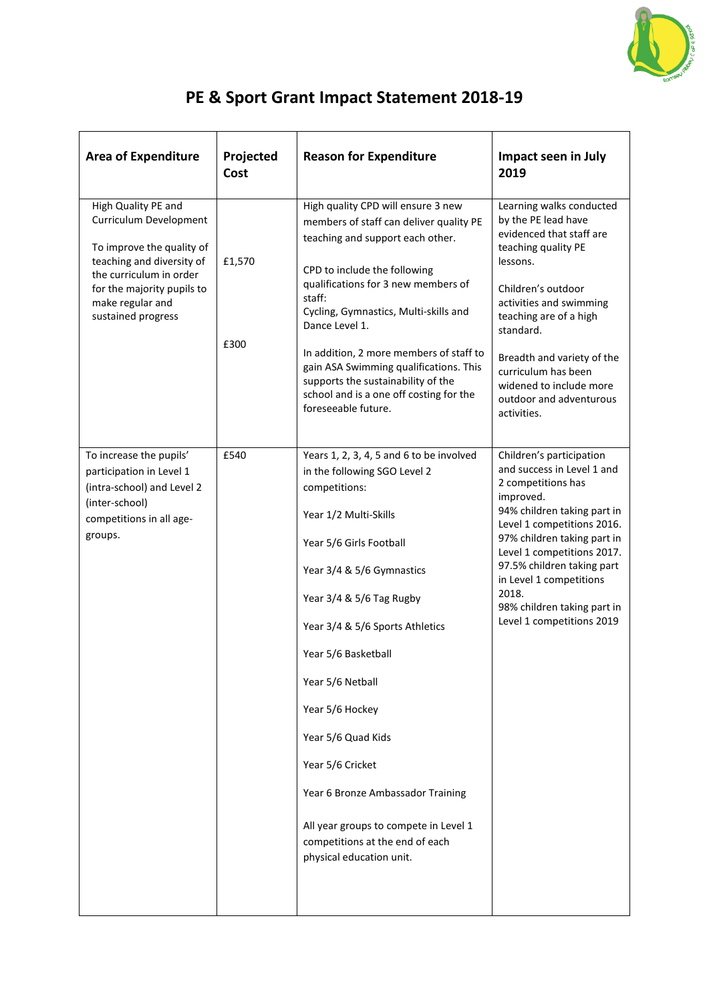

## **PE & Sport Grant Impact Statement 2018-19**

| <b>Area of Expenditure</b>                                                                                                                                                                                 | Projected<br>Cost | <b>Reason for Expenditure</b>                                                                                                                                                                                                                                                                                                                                                                                                                                                                  | <b>Impact seen in July</b><br>2019                                                                                                                                                                                                                                                                                                                |
|------------------------------------------------------------------------------------------------------------------------------------------------------------------------------------------------------------|-------------------|------------------------------------------------------------------------------------------------------------------------------------------------------------------------------------------------------------------------------------------------------------------------------------------------------------------------------------------------------------------------------------------------------------------------------------------------------------------------------------------------|---------------------------------------------------------------------------------------------------------------------------------------------------------------------------------------------------------------------------------------------------------------------------------------------------------------------------------------------------|
| High Quality PE and<br>Curriculum Development<br>To improve the quality of<br>teaching and diversity of<br>the curriculum in order<br>for the majority pupils to<br>make regular and<br>sustained progress | £1,570<br>£300    | High quality CPD will ensure 3 new<br>members of staff can deliver quality PE<br>teaching and support each other.<br>CPD to include the following<br>qualifications for 3 new members of<br>staff:<br>Cycling, Gymnastics, Multi-skills and<br>Dance Level 1.<br>In addition, 2 more members of staff to<br>gain ASA Swimming qualifications. This<br>supports the sustainability of the<br>school and is a one off costing for the<br>foreseeable future.                                     | Learning walks conducted<br>by the PE lead have<br>evidenced that staff are<br>teaching quality PE<br>lessons.<br>Children's outdoor<br>activities and swimming<br>teaching are of a high<br>standard.<br>Breadth and variety of the<br>curriculum has been<br>widened to include more<br>outdoor and adventurous<br>activities.                  |
| To increase the pupils'<br>participation in Level 1<br>(intra-school) and Level 2<br>(inter-school)<br>competitions in all age-<br>groups.                                                                 | £540              | Years 1, 2, 3, 4, 5 and 6 to be involved<br>in the following SGO Level 2<br>competitions:<br>Year 1/2 Multi-Skills<br>Year 5/6 Girls Football<br>Year 3/4 & 5/6 Gymnastics<br>Year 3/4 & 5/6 Tag Rugby<br>Year 3/4 & 5/6 Sports Athletics<br>Year 5/6 Basketball<br>Year 5/6 Netball<br>Year 5/6 Hockey<br>Year 5/6 Quad Kids<br>Year 5/6 Cricket<br>Year 6 Bronze Ambassador Training<br>All year groups to compete in Level 1<br>competitions at the end of each<br>physical education unit. | Children's participation<br>and success in Level 1 and<br>2 competitions has<br>improved.<br>94% children taking part in<br>Level 1 competitions 2016.<br>97% children taking part in<br>Level 1 competitions 2017.<br>97.5% children taking part<br>in Level 1 competitions<br>2018.<br>98% children taking part in<br>Level 1 competitions 2019 |